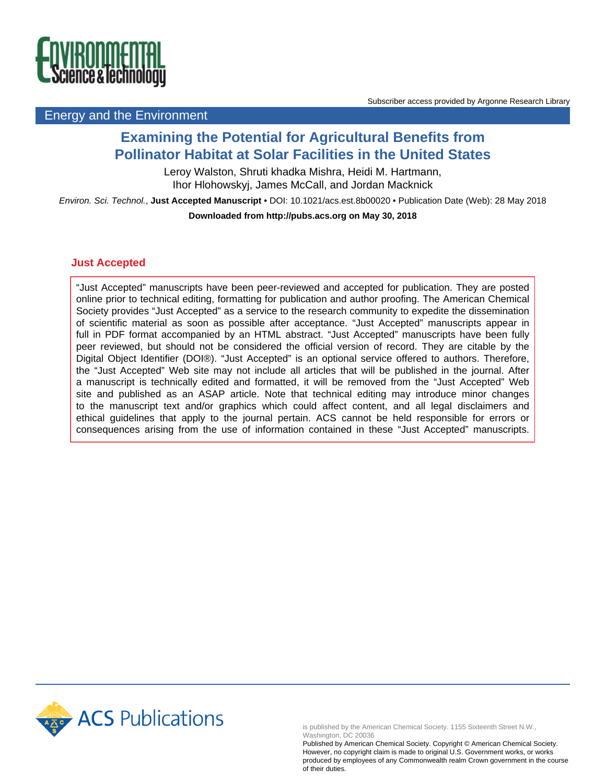

### Energy and the Environment

## **Examining the Potential for Agricultural Benefits from Pollinator Habitat at Solar Facilities in the United States**

Leroy Walston, Shruti khadka Mishra, Heidi M. Hartmann, Ihor Hlohowskyj, James McCall, and Jordan Macknick

Environ. Sci. Technol., **Just Accepted Manuscript** • DOI: 10.1021/acs.est.8b00020 • Publication Date (Web): 28 May 2018 **Downloaded from http://pubs.acs.org on May 30, 2018**

### **Just Accepted**

"Just Accepted" manuscripts have been peer-reviewed and accepted for publication. They are posted online prior to technical editing, formatting for publication and author proofing. The American Chemical Society provides "Just Accepted" as a service to the research community to expedite the dissemination of scientific material as soon as possible after acceptance. "Just Accepted" manuscripts appear in full in PDF format accompanied by an HTML abstract. "Just Accepted" manuscripts have been fully peer reviewed, but should not be considered the official version of record. They are citable by the Digital Object Identifier (DOI®). "Just Accepted" is an optional service offered to authors. Therefore, the "Just Accepted" Web site may not include all articles that will be published in the journal. After a manuscript is technically edited and formatted, it will be removed from the "Just Accepted" Web site and published as an ASAP article. Note that technical editing may introduce minor changes to the manuscript text and/or graphics which could affect content, and all legal disclaimers and ethical guidelines that apply to the journal pertain. ACS cannot be held responsible for errors or consequences arising from the use of information contained in these "Just Accepted" manuscripts.



is published by the American Chemical Society. 1155 Sixteenth Street N.W., Washington, DC 20036

Published by American Chemical Society. Copyright © American Chemical Society. However, no copyright claim is made to original U.S. Government works, or works produced by employees of any Commonwealth realm Crown government in the course of their duties.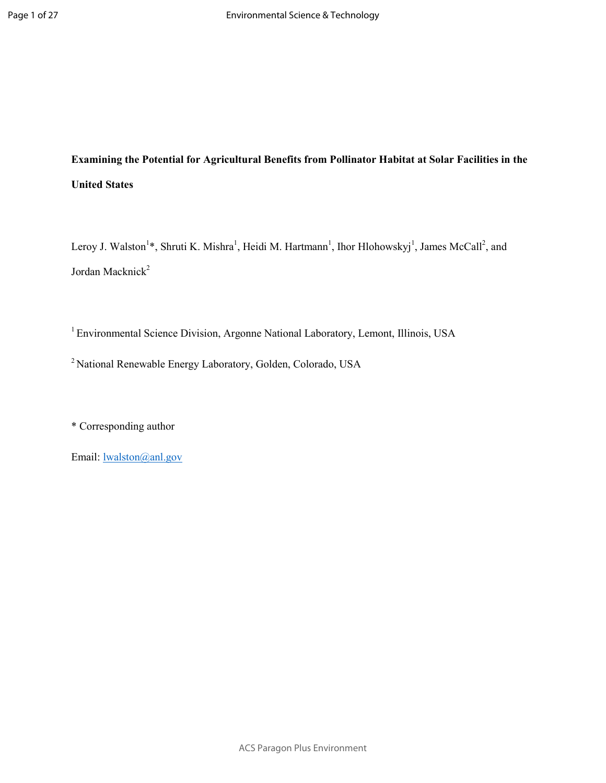# **Examining the Potential for Agricultural Benefits from Pollinator Habitat at Solar Facilities in the United States**

Leroy J. Walston<sup>1</sup>\*, Shruti K. Mishra<sup>1</sup>, Heidi M. Hartmann<sup>1</sup>, Ihor Hlohowskyj<sup>1</sup>, James McCall<sup>2</sup>, and Jordan Macknick<sup>2</sup>

<sup>1</sup>Environmental Science Division, Argonne National Laboratory, Lemont, Illinois, USA

<sup>2</sup>National Renewable Energy Laboratory, Golden, Colorado, USA

\* Corresponding author

Email: lwalston@anl.gov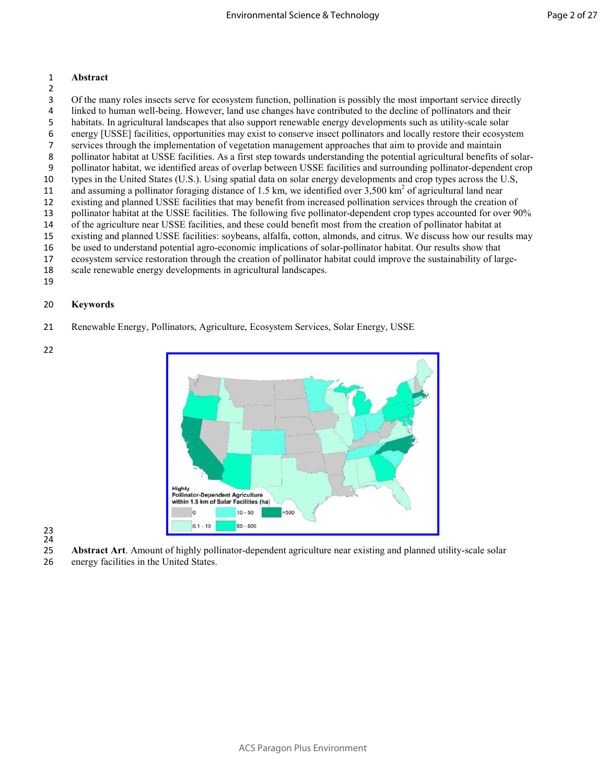### **Abstract**

- Of the many roles insects serve for ecosystem function, pollination is possibly the most important service directly
- linked to human well-being. However, land use changes have contributed to the decline of pollinators and their habitats. In agricultural landscapes that also support renewable energy developments such as utility-scale solar
- energy [USSE] facilities, opportunities may exist to conserve insect pollinators and locally restore their ecosystem
- services through the implementation of vegetation management approaches that aim to provide and maintain
- pollinator habitat at USSE facilities. As a first step towards understanding the potential agricultural benefits of solar-
- pollinator habitat, we identified areas of overlap between USSE facilities and surrounding pollinator-dependent crop types in the United States (U.S.). Using spatial data on solar energy developments and crop types across the U.S,
- 11 and assuming a pollinator foraging distance of 1.5 km, we identified over  $3,500$  km<sup>2</sup> of agricultural land near
- existing and planned USSE facilities that may benefit from increased pollination services through the creation of
- pollinator habitat at the USSE facilities. The following five pollinator-dependent crop types accounted for over 90%
- of the agriculture near USSE facilities, and these could benefit most from the creation of pollinator habitat at
- existing and planned USSE facilities: soybeans, alfalfa, cotton, almonds, and citrus. We discuss how our results may
- be used to understand potential agro-economic implications of solar-pollinator habitat. Our results show that
- ecosystem service restoration through the creation of pollinator habitat could improve the sustainability of large-
- scale renewable energy developments in agricultural landscapes.
- 

### **Keywords**

- Renewable Energy, Pollinators, Agriculture, Ecosystem Services, Solar Energy, USSE
- 



 

- **Abstract Art**. Amount of highly pollinator-dependent agriculture near existing and planned utility-scale solar
- energy facilities in the United States.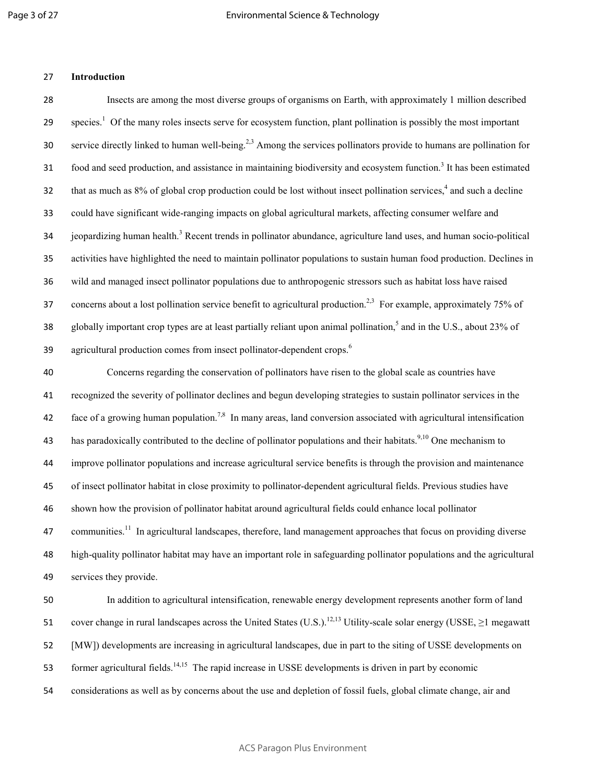### 27 **Introduction**

28 Insects are among the most diverse groups of organisms on Earth, with approximately 1 million described 29 species.<sup>1</sup> Of the many roles insects serve for ecosystem function, plant pollination is possibly the most important service directly linked to human well-being.<sup>2,3</sup> Among the services pollinators provide to humans are pollination for 31 food and seed production, and assistance in maintaining biodiversity and ecosystem function.<sup>3</sup> It has been estimated 32 that as much as  $8\%$  of global crop production could be lost without insect pollination services,  $4$  and such a decline 33 could have significant wide-ranging impacts on global agricultural markets, affecting consumer welfare and 34 jeopardizing human health.<sup>3</sup> Recent trends in pollinator abundance, agriculture land uses, and human socio-political 35 activities have highlighted the need to maintain pollinator populations to sustain human food production. Declines in 36 wild and managed insect pollinator populations due to anthropogenic stressors such as habitat loss have raised 37 concerns about a lost pollination service benefit to agricultural production.<sup>2,3</sup> For example, approximately 75% of 38 globally important crop types are at least partially reliant upon animal pollination,  $5$  and in the U.S., about 23% of  $39$  agricultural production comes from insect pollinator-dependent crops.<sup>6</sup>

Concerns regarding the conservation of pollinators have risen to the global scale as countries have recognized the severity of pollinator declines and begun developing strategies to sustain pollinator services in the 42 face of a growing human population.<sup>7,8</sup> In many areas, land conversion associated with agricultural intensification has paradoxically contributed to the decline of pollinator populations and their habitats.<sup>9,10</sup> One mechanism to improve pollinator populations and increase agricultural service benefits is through the provision and maintenance of insect pollinator habitat in close proximity to pollinator-dependent agricultural fields. Previous studies have shown how the provision of pollinator habitat around agricultural fields could enhance local pollinator 47 communities.<sup>11</sup> In agricultural landscapes, therefore, land management approaches that focus on providing diverse high-quality pollinator habitat may have an important role in safeguarding pollinator populations and the agricultural services they provide.

50 In addition to agricultural intensification, renewable energy development represents another form of land 51 cover change in rural landscapes across the United States (U.S.).<sup>12,13</sup> Utility-scale solar energy (USSE,  $\geq$ 1 megawatt 52 [MW]) developments are increasing in agricultural landscapes, due in part to the siting of USSE developments on 53 former agricultural fields.<sup>14,15</sup> The rapid increase in USSE developments is driven in part by economic 54 considerations as well as by concerns about the use and depletion of fossil fuels, global climate change, air and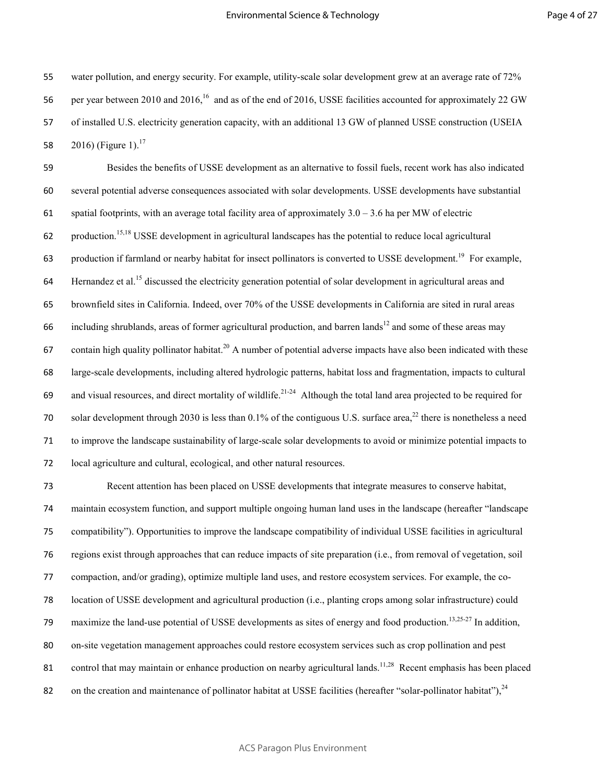55 water pollution, and energy security. For example, utility-scale solar development grew at an average rate of 72% 56 per year between 2010 and 2016,<sup>16</sup> and as of the end of 2016, USSE facilities accounted for approximately 22 GW 57 of installed U.S. electricity generation capacity, with an additional 13 GW of planned USSE construction (USEIA

58 2016) (Figure 1).<sup>17</sup>

59 Besides the benefits of USSE development as an alternative to fossil fuels, recent work has also indicated 60 several potential adverse consequences associated with solar developments. USSE developments have substantial 61 spatial footprints, with an average total facility area of approximately  $3.0 - 3.6$  ha per MW of electric 62 production.<sup>15,18</sup> USSE development in agricultural landscapes has the potential to reduce local agricultural 63 production if farmland or nearby habitat for insect pollinators is converted to USSE development.<sup>19</sup> For example,  $64$  Hernandez et al.<sup>15</sup> discussed the electricity generation potential of solar development in agricultural areas and 65 brownfield sites in California. Indeed, over 70% of the USSE developments in California are sited in rural areas 66 including shrublands, areas of former agricultural production, and barren lands<sup>12</sup> and some of these areas may 67 contain high quality pollinator habitat.<sup>20</sup> A number of potential adverse impacts have also been indicated with these 68 large-scale developments, including altered hydrologic patterns, habitat loss and fragmentation, impacts to cultural 69 and visual resources, and direct mortality of wildlife.<sup>21-24</sup> Although the total land area projected to be required for 70 solar development through 2030 is less than 0.1% of the contiguous U.S. surface area,<sup>22</sup> there is nonetheless a need 71 to improve the landscape sustainability of large-scale solar developments to avoid or minimize potential impacts to 72 local agriculture and cultural, ecological, and other natural resources.

Recent attention has been placed on USSE developments that integrate measures to conserve habitat, maintain ecosystem function, and support multiple ongoing human land uses in the landscape (hereafter "landscape compatibility"). Opportunities to improve the landscape compatibility of individual USSE facilities in agricultural regions exist through approaches that can reduce impacts of site preparation (i.e., from removal of vegetation, soil compaction, and/or grading), optimize multiple land uses, and restore ecosystem services. For example, the co-location of USSE development and agricultural production (i.e., planting crops among solar infrastructure) could 79 maximize the land-use potential of USSE developments as sites of energy and food production.<sup>13,25-27</sup> In addition, on-site vegetation management approaches could restore ecosystem services such as crop pollination and pest 81 control that may maintain or enhance production on nearby agricultural lands.<sup>11,28</sup> Recent emphasis has been placed 82 on the creation and maintenance of pollinator habitat at USSE facilities (hereafter "solar-pollinator habitat"), $^{24}$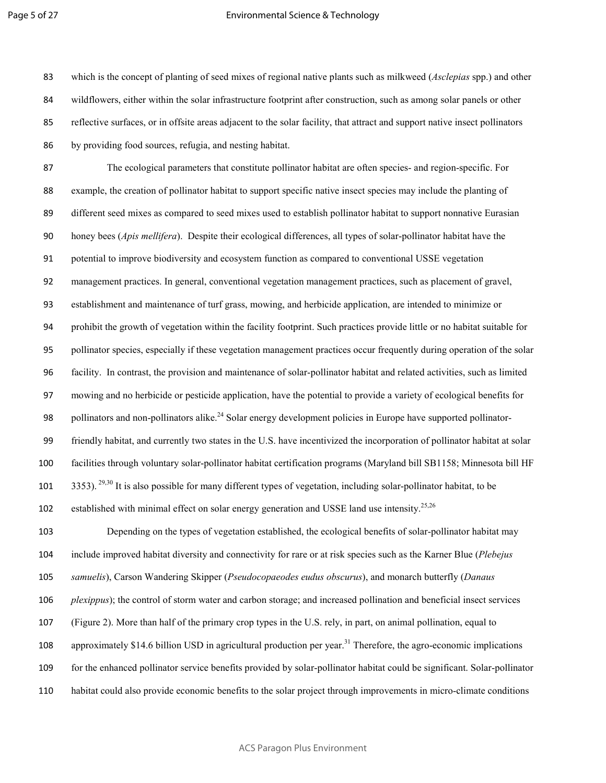### Environmental Science & Technology

which is the concept of planting of seed mixes of regional native plants such as milkweed (*Asclepias* spp.) and other wildflowers, either within the solar infrastructure footprint after construction, such as among solar panels or other reflective surfaces, or in offsite areas adjacent to the solar facility, that attract and support native insect pollinators by providing food sources, refugia, and nesting habitat.

The ecological parameters that constitute pollinator habitat are often species- and region-specific. For example, the creation of pollinator habitat to support specific native insect species may include the planting of different seed mixes as compared to seed mixes used to establish pollinator habitat to support nonnative Eurasian honey bees (*Apis mellifera*). Despite their ecological differences, all types of solar-pollinator habitat have the potential to improve biodiversity and ecosystem function as compared to conventional USSE vegetation management practices. In general, conventional vegetation management practices, such as placement of gravel, establishment and maintenance of turf grass, mowing, and herbicide application, are intended to minimize or prohibit the growth of vegetation within the facility footprint. Such practices provide little or no habitat suitable for pollinator species, especially if these vegetation management practices occur frequently during operation of the solar facility. In contrast, the provision and maintenance of solar-pollinator habitat and related activities, such as limited mowing and no herbicide or pesticide application, have the potential to provide a variety of ecological benefits for 98 pollinators and non-pollinators alike.<sup>24</sup> Solar energy development policies in Europe have supported pollinator-friendly habitat, and currently two states in the U.S. have incentivized the incorporation of pollinator habitat at solar facilities through voluntary solar-pollinator habitat certification programs (Maryland bill SB1158; Minnesota bill HF . <sup>29,30</sup> It is also possible for many different types of vegetation, including solar-pollinator habitat, to be 102 established with minimal effect on solar energy generation and USSE land use intensity.<sup>25,26</sup>

Depending on the types of vegetation established, the ecological benefits of solar-pollinator habitat may include improved habitat diversity and connectivity for rare or at risk species such as the Karner Blue (*Plebejus samuelis*), Carson Wandering Skipper (*Pseudocopaeodes eudus obscurus*), and monarch butterfly (*Danaus plexippus*); the control of storm water and carbon storage; and increased pollination and beneficial insect services (Figure 2). More than half of the primary crop types in the U.S. rely, in part, on animal pollination, equal to 108 approximately \$14.6 billion USD in agricultural production per year.<sup>31</sup> Therefore, the agro-economic implications for the enhanced pollinator service benefits provided by solar-pollinator habitat could be significant. Solar-pollinator habitat could also provide economic benefits to the solar project through improvements in micro-climate conditions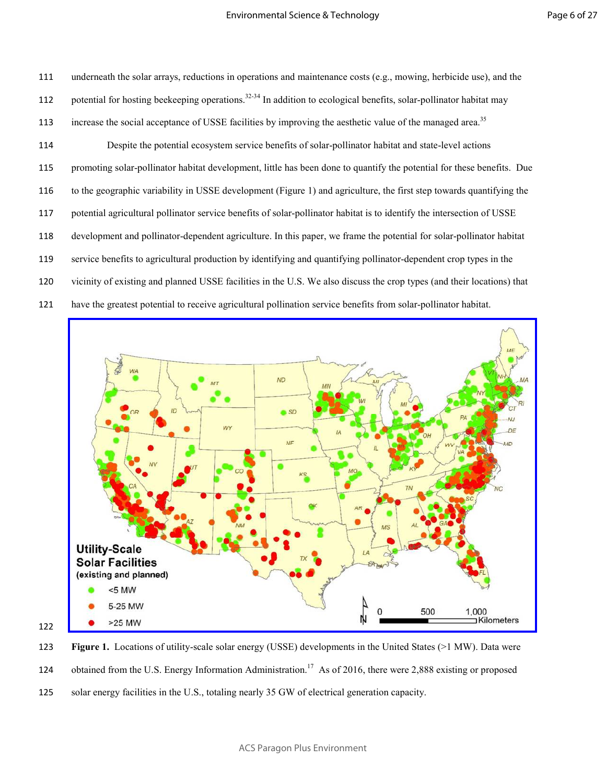underneath the solar arrays, reductions in operations and maintenance costs (e.g., mowing, herbicide use), and the 112 potential for hosting beekeeping operations.<sup>32-34</sup> In addition to ecological benefits, solar-pollinator habitat may increase the social acceptance of USSE facilities by improving the aesthetic value of the managed area.<sup>35</sup> Despite the potential ecosystem service benefits of solar-pollinator habitat and state-level actions promoting solar-pollinator habitat development, little has been done to quantify the potential for these benefits. Due to the geographic variability in USSE development (Figure 1) and agriculture, the first step towards quantifying the potential agricultural pollinator service benefits of solar-pollinator habitat is to identify the intersection of USSE development and pollinator-dependent agriculture. In this paper, we frame the potential for solar-pollinator habitat service benefits to agricultural production by identifying and quantifying pollinator-dependent crop types in the vicinity of existing and planned USSE facilities in the U.S. We also discuss the crop types (and their locations) that have the greatest potential to receive agricultural pollination service benefits from solar-pollinator habitat.



**Figure 1.** Locations of utility-scale solar energy (USSE) developments in the United States (>1 MW). Data were 124 obtained from the U.S. Energy Information Administration.<sup>17</sup> As of 2016, there were 2,888 existing or proposed solar energy facilities in the U.S., totaling nearly 35 GW of electrical generation capacity.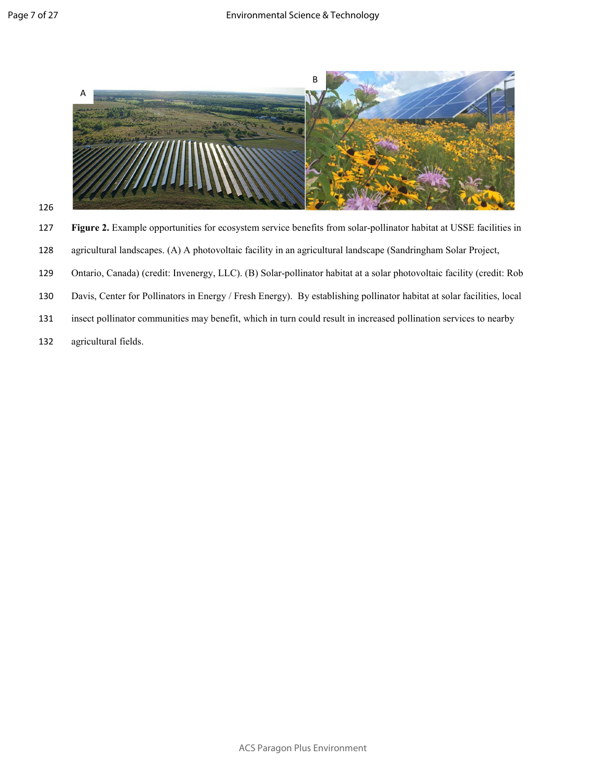



127 **Figure 2.** Example opportunities for ecosystem service benefits from solar-pollinator habitat at USSE facilities in

- 128 agricultural landscapes. (A) A photovoltaic facility in an agricultural landscape (Sandringham Solar Project,
- 129 Ontario, Canada) (credit: Invenergy, LLC). (B) Solar-pollinator habitat at a solar photovoltaic facility (credit: Rob
- 130 Davis, Center for Pollinators in Energy / Fresh Energy). By establishing pollinator habitat at solar facilities, local
- 131 insect pollinator communities may benefit, which in turn could result in increased pollination services to nearby
- 132 agricultural fields.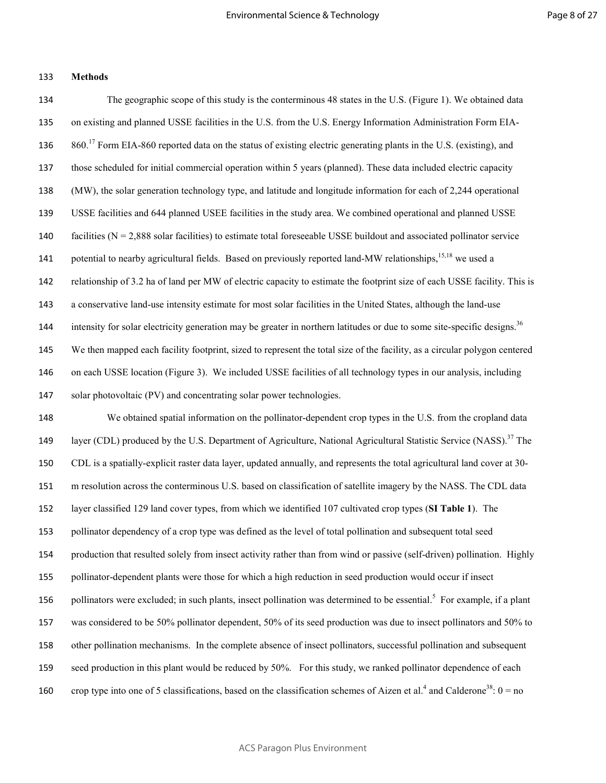### **Methods**

The geographic scope of this study is the conterminous 48 states in the U.S. (Figure 1). We obtained data on existing and planned USSE facilities in the U.S. from the U.S. Energy Information Administration Form EIA- $860<sup>17</sup>$  Form EIA-860 reported data on the status of existing electric generating plants in the U.S. (existing), and those scheduled for initial commercial operation within 5 years (planned). These data included electric capacity (MW), the solar generation technology type, and latitude and longitude information for each of 2,244 operational USSE facilities and 644 planned USEE facilities in the study area. We combined operational and planned USSE 140 facilities ( $N = 2,888$  solar facilities) to estimate total foreseeable USSE buildout and associated pollinator service 141 potential to nearby agricultural fields. Based on previously reported land-MW relationships,<sup>15,18</sup> we used a relationship of 3.2 ha of land per MW of electric capacity to estimate the footprint size of each USSE facility. This is a conservative land-use intensity estimate for most solar facilities in the United States, although the land-use intensity for solar electricity generation may be greater in northern latitudes or due to some site-specific designs.<sup>36</sup> We then mapped each facility footprint, sized to represent the total size of the facility, as a circular polygon centered on each USSE location (Figure 3). We included USSE facilities of all technology types in our analysis, including solar photovoltaic (PV) and concentrating solar power technologies. We obtained spatial information on the pollinator-dependent crop types in the U.S. from the cropland data

149 layer (CDL) produced by the U.S. Department of Agriculture, National Agricultural Statistic Service (NASS).<sup>37</sup> The CDL is a spatially-explicit raster data layer, updated annually, and represents the total agricultural land cover at 30- m resolution across the conterminous U.S. based on classification of satellite imagery by the NASS. The CDL data layer classified 129 land cover types, from which we identified 107 cultivated crop types (**SI Table 1**). The pollinator dependency of a crop type was defined as the level of total pollination and subsequent total seed production that resulted solely from insect activity rather than from wind or passive (self-driven) pollination. Highly pollinator-dependent plants were those for which a high reduction in seed production would occur if insect 156 pollinators were excluded; in such plants, insect pollination was determined to be essential.<sup>5</sup> For example, if a plant was considered to be 50% pollinator dependent, 50% of its seed production was due to insect pollinators and 50% to other pollination mechanisms. In the complete absence of insect pollinators, successful pollination and subsequent seed production in this plant would be reduced by 50%. For this study, we ranked pollinator dependence of each 160 crop type into one of 5 classifications, based on the classification schemes of Aizen et al.<sup>4</sup> and Calderone<sup>38</sup>:  $0 = no$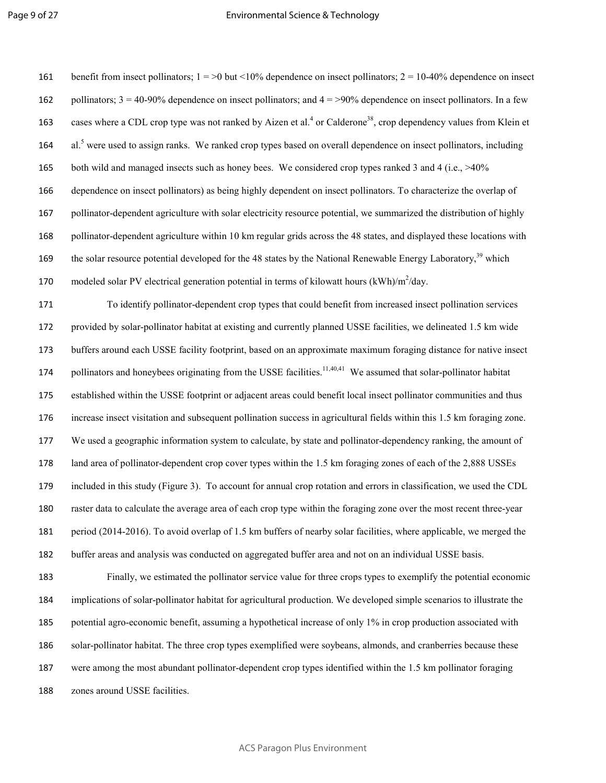161 benefit from insect pollinators;  $1 = 20$  but  $\leq 10\%$  dependence on insect pollinators;  $2 = 10-40\%$  dependence on insect 162 pollinators;  $3 = 40-90\%$  dependence on insect pollinators; and  $4 = 90\%$  dependence on insect pollinators. In a few 163 cases where a CDL crop type was not ranked by Aizen et al.<sup>4</sup> or Calderone<sup>38</sup>, crop dependency values from Klein et 164 al.<sup>5</sup> were used to assign ranks. We ranked crop types based on overall dependence on insect pollinators, including 165 both wild and managed insects such as honey bees. We considered crop types ranked 3 and 4 (i.e., >40% dependence on insect pollinators) as being highly dependent on insect pollinators. To characterize the overlap of pollinator-dependent agriculture with solar electricity resource potential, we summarized the distribution of highly pollinator-dependent agriculture within 10 km regular grids across the 48 states, and displayed these locations with the solar resource potential developed for the 48 states by the National Renewable Energy Laboratory, which 170 modeled solar PV electrical generation potential in terms of kilowatt hours  $(kWh)/m^2/day$ .

To identify pollinator-dependent crop types that could benefit from increased insect pollination services provided by solar-pollinator habitat at existing and currently planned USSE facilities, we delineated 1.5 km wide buffers around each USSE facility footprint, based on an approximate maximum foraging distance for native insect 174 pollinators and honeybees originating from the USSE facilities.<sup>11,40,41</sup> We assumed that solar-pollinator habitat established within the USSE footprint or adjacent areas could benefit local insect pollinator communities and thus increase insect visitation and subsequent pollination success in agricultural fields within this 1.5 km foraging zone. We used a geographic information system to calculate, by state and pollinator-dependency ranking, the amount of land area of pollinator-dependent crop cover types within the 1.5 km foraging zones of each of the 2,888 USSEs included in this study (Figure 3). To account for annual crop rotation and errors in classification, we used the CDL raster data to calculate the average area of each crop type within the foraging zone over the most recent three-year period (2014-2016). To avoid overlap of 1.5 km buffers of nearby solar facilities, where applicable, we merged the buffer areas and analysis was conducted on aggregated buffer area and not on an individual USSE basis. Finally, we estimated the pollinator service value for three crops types to exemplify the potential economic

implications of solar-pollinator habitat for agricultural production. We developed simple scenarios to illustrate the potential agro-economic benefit, assuming a hypothetical increase of only 1% in crop production associated with solar-pollinator habitat. The three crop types exemplified were soybeans, almonds, and cranberries because these were among the most abundant pollinator-dependent crop types identified within the 1.5 km pollinator foraging zones around USSE facilities.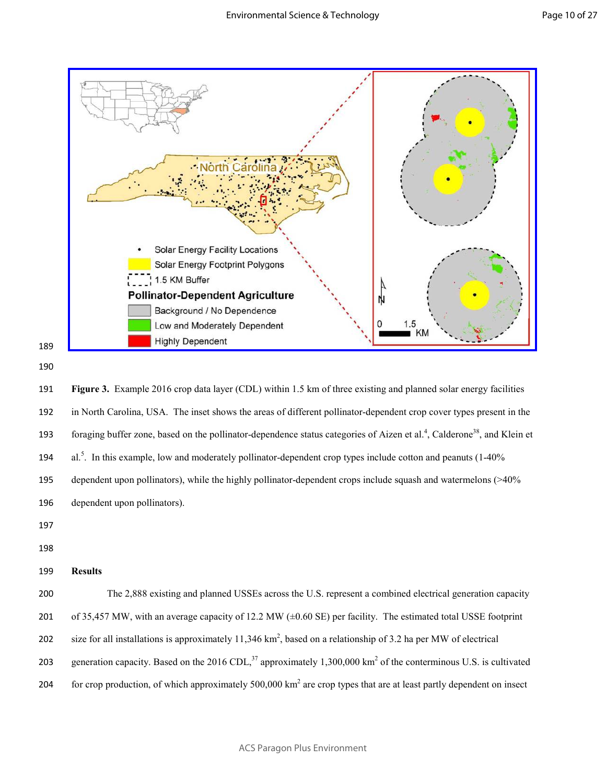



191 **Figure 3.** Example 2016 crop data layer (CDL) within 1.5 km of three existing and planned solar energy facilities 192 in North Carolina, USA. The inset shows the areas of different pollinator-dependent crop cover types present in the 193 foraging buffer zone, based on the pollinator-dependence status categories of Aizen et al.<sup>4</sup>, Calderone<sup>38</sup>, and Klein et 194 al.<sup>5</sup>. In this example, low and moderately pollinator-dependent crop types include cotton and peanuts  $(1-40\%$ 195 dependent upon pollinators), while the highly pollinator-dependent crops include squash and watermelons (>40% 196 dependent upon pollinators).

- 197 198
- 199 **Results**

200 The 2,888 existing and planned USSEs across the U.S. represent a combined electrical generation capacity 201 of 35,457 MW, with an average capacity of 12.2 MW  $(\pm 0.60 \text{ SE})$  per facility. The estimated total USSE footprint 202 size for all installations is approximately 11,346 km<sup>2</sup>, based on a relationship of 3.2 ha per MW of electrical 203 generation capacity. Based on the 2016 CDL,<sup>37</sup> approximately 1,300,000 km<sup>2</sup> of the conterminous U.S. is cultivated 204 for crop production, of which approximately  $500,000 \text{ km}^2$  are crop types that are at least partly dependent on insect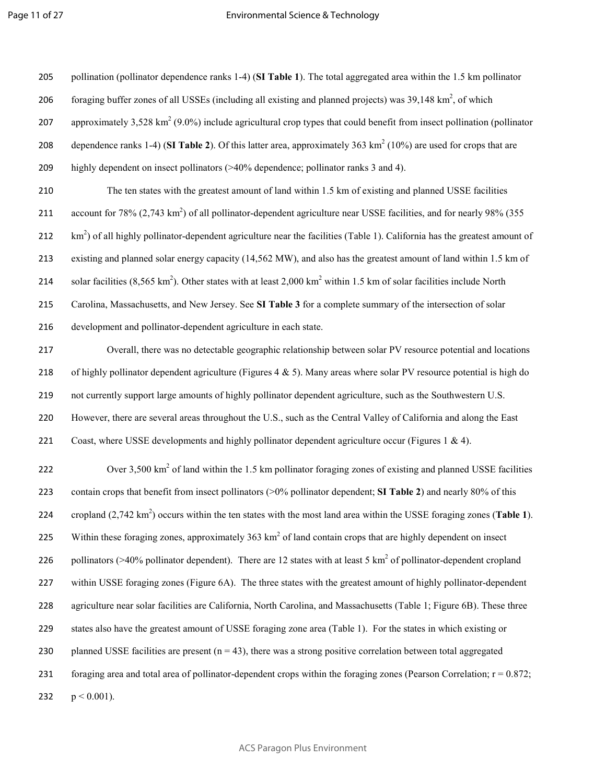205 pollination (pollinator dependence ranks 1-4) (**SI Table 1**). The total aggregated area within the 1.5 km pollinator

206 foraging buffer zones of all USSEs (including all existing and planned projects) was  $39,148 \text{ km}^2$ , of which

207 approximately 3,528 km<sup>2</sup> (9.0%) include agricultural crop types that could benefit from insect pollination (pollinator 208 dependence ranks 1-4) (SI Table 2). Of this latter area, approximately  $363 \text{ km}^2$  (10%) are used for crops that are 209 highly dependent on insect pollinators (>40% dependence; pollinator ranks 3 and 4). 210 The ten states with the greatest amount of land within 1.5 km of existing and planned USSE facilities 211 account for  $78\%$  (2,743 km<sup>2</sup>) of all pollinator-dependent agriculture near USSE facilities, and for nearly 98% (355  $212$  km<sup>2</sup>) of all highly pollinator-dependent agriculture near the facilities (Table 1). California has the greatest amount of 213 existing and planned solar energy capacity (14,562 MW), and also has the greatest amount of land within 1.5 km of 214 solar facilities  $(8,565 \text{ km}^2)$ . Other states with at least 2,000 km<sup>2</sup> within 1.5 km of solar facilities include North 215 Carolina, Massachusetts, and New Jersey. See **SI Table 3** for a complete summary of the intersection of solar 216 development and pollinator-dependent agriculture in each state. 217 Overall, there was no detectable geographic relationship between solar PV resource potential and locations 218 of highly pollinator dependent agriculture (Figures  $4 \& 5$ ). Many areas where solar PV resource potential is high do 219 not currently support large amounts of highly pollinator dependent agriculture, such as the Southwestern U.S. 220 However, there are several areas throughout the U.S., such as the Central Valley of California and along the East 221 Coast, where USSE developments and highly pollinator dependent agriculture occur (Figures 1 & 4). 222 Over  $3,500 \text{ km}^2$  of land within the 1.5 km pollinator foraging zones of existing and planned USSE facilities 223 contain crops that benefit from insect pollinators (>0% pollinator dependent; **SI Table 2**) and nearly 80% of this cropland  $(2,742 \text{ km}^2)$  occurs within the ten states with the most land area within the USSE foraging zones (**Table 1**). 225 Within these foraging zones, approximately  $363 \text{ km}^2$  of land contain crops that are highly dependent on insect 226 pollinators (>40% pollinator dependent). There are 12 states with at least 5 km<sup>2</sup> of pollinator-dependent cropland 227 within USSE foraging zones (Figure 6A). The three states with the greatest amount of highly pollinator-dependent 228 agriculture near solar facilities are California, North Carolina, and Massachusetts (Table 1; Figure 6B). These three 229 states also have the greatest amount of USSE foraging zone area (Table 1). For the states in which existing or 230 planned USSE facilities are present  $(n = 43)$ , there was a strong positive correlation between total aggregated 231 foraging area and total area of pollinator-dependent crops within the foraging zones (Pearson Correlation;  $r = 0.872$ ; 232  $p < 0.001$ ).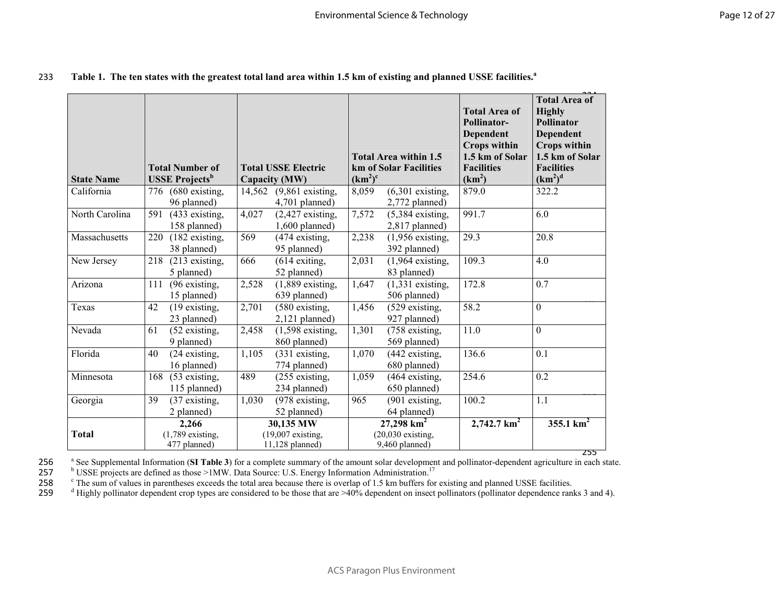| 233 Table 1. The ten states with the greatest total land area within 1.5 km of existing and planned USSE facilities. <sup>a</sup> |  |
|-----------------------------------------------------------------------------------------------------------------------------------|--|
|                                                                                                                                   |  |

| <b>State Name</b> | <b>Total Number of</b><br><b>USSE</b> Projects <sup>b</sup> | <b>Total USSE Electric</b><br>Capacity (MW)         | Total Area within 1.5<br>km of Solar Facilities<br>(km <sup>2</sup> ) <sup>c</sup> | <b>Total Area of</b><br>Pollinator-<br><b>Dependent</b><br><b>Crops within</b><br>1.5 km of Solar<br><b>Facilities</b><br>(km <sup>2</sup> ) | <b>Total Area of</b><br><b>Highly</b><br>Pollinator<br><b>Dependent</b><br><b>Crops within</b><br>1.5 km of Solar<br><b>Facilities</b><br>(km <sup>2</sup> ) <sup>d</sup> |
|-------------------|-------------------------------------------------------------|-----------------------------------------------------|------------------------------------------------------------------------------------|----------------------------------------------------------------------------------------------------------------------------------------------|---------------------------------------------------------------------------------------------------------------------------------------------------------------------------|
| California        | (680 existing,<br>776<br>96 planned)                        | 14,562<br>$(9,861)$ existing,<br>$4,701$ planned)   | 8,059<br>$(6,301)$ existing,<br>2,772 planned)                                     | 879.0                                                                                                                                        | 322.2                                                                                                                                                                     |
| North Carolina    | 591<br>(433 existing,<br>158 planned)                       | 4,027<br>$(2,427$ existing,<br>$1,600$ planned)     | 7,572<br>$(5,384)$ existing,<br>$2,817$ planned)                                   | 991.7                                                                                                                                        | 6.0                                                                                                                                                                       |
| Massachusetts     | 220<br>$(182$ existing,<br>38 planned)                      | 569<br>(474 existing,<br>95 planned)                | 2,238<br>$(1,956$ existing,<br>392 planned)                                        | 29.3                                                                                                                                         | 20.8                                                                                                                                                                      |
| New Jersey        | 218<br>$(213$ existing,<br>5 planned)                       | 666<br>$(614$ exiting,<br>52 planned)               | $\overline{2,}031$<br>$(1,964$ existing,<br>83 planned)                            | 109.3                                                                                                                                        | 4.0                                                                                                                                                                       |
| Arizona           | 111<br>(96 existing,<br>15 planned)                         | 2,528<br>$(1,889$ existing,<br>639 planned)         | 1,647<br>$\overline{(1,331)}$ existing,<br>506 planned)                            | 172.8                                                                                                                                        | 0.7                                                                                                                                                                       |
| Texas             | 42<br>(19 existing,<br>23 planned)                          | 2,701<br>(580 existing,<br>$2,121$ planned)         | 1,456<br>(529 existing,<br>927 planned)                                            | 58.2                                                                                                                                         | $\mathbf{0}$                                                                                                                                                              |
| Nevada            | 61<br>(52 existing,<br>9 planned)                           | 2,458<br>$(1,598$ existing,<br>860 planned)         | 1,301<br>(758 existing,<br>569 planned)                                            | 11.0                                                                                                                                         | $\overline{0}$                                                                                                                                                            |
| Florida           | 40<br>$(24$ existing,<br>16 planned)                        | 1,105<br>(331 existing,<br>774 planned)             | 1,070<br>(442 existing,<br>680 planned)                                            | 136.6                                                                                                                                        | $\overline{0.1}$                                                                                                                                                          |
| Minnesota         | (53 existing,<br>168<br>115 planned)                        | 489<br>$(255$ existing,<br>234 planned)             | 1,059<br>(464 existing,<br>650 planned)                                            | 254.6                                                                                                                                        | 0.2                                                                                                                                                                       |
| Georgia           | 39<br>(37 existing,<br>2 planned)                           | 1,030<br>(978 existing,<br>52 planned)              | 965<br>(901 existing,<br>64 planned)                                               | 100.2                                                                                                                                        | 1.1                                                                                                                                                                       |
| <b>Total</b>      | 2,266<br>$(1,789$ existing,<br>477 planned)                 | 30,135 MW<br>$(19,007$ existing,<br>11,128 planned) | $27,298$ km <sup>2</sup><br>$(20,030$ existing,<br>9,460 planned)                  | $2,742.7$ km <sup>2</sup>                                                                                                                    | $355.1 \text{ km}^2$<br>255                                                                                                                                               |

a 256 See Supplemental Information (**SI Table 3**) for a complete summary of the amount solar development and pollinator-dependent agriculture in each state.

257 b USSE projects are defined as those >1MW. Data Source: U.S. Energy Information Administration.<sup>17</sup>

258 258 <sup>c</sup> The sum of values in parentheses exceeds the total area because there is overlap of 1.5 km buffers for existing and planned USSE facilities.

259  $\frac{d}{dt}$  Highly pollinator dependent crop types are considered to be those that are >40% dependent on insect pollinators (pollinator dependence ranks 3 and 4).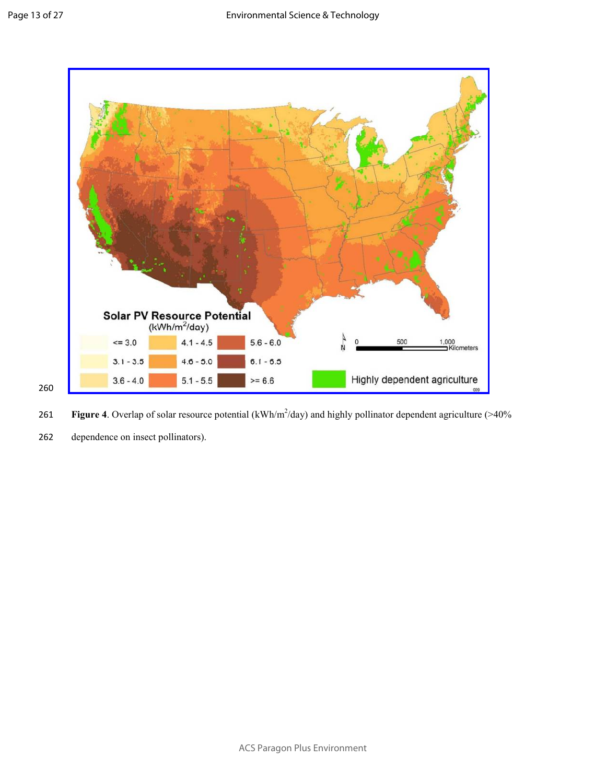260



**Figure 4**. Overlap of solar resource potential  $(kWh/m^2/day)$  and highly pollinator dependent agriculture (>40%)

262 dependence on insect pollinators).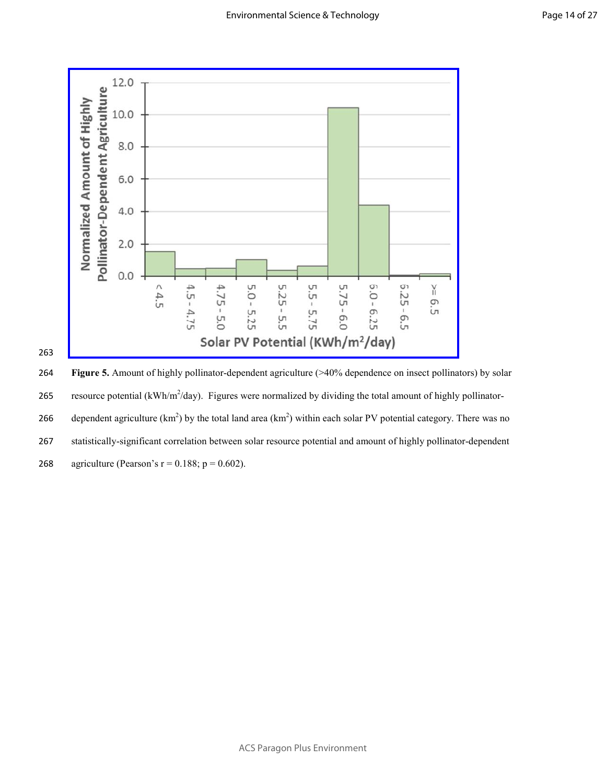

263

264 **Figure 5.** Amount of highly pollinator-dependent agriculture (>40% dependence on insect pollinators) by solar 265 resource potential ( $kWh/m^2/day$ ). Figures were normalized by dividing the total amount of highly pollinator-266 dependent agriculture  $(km^2)$  by the total land area  $(km^2)$  within each solar PV potential category. There was no 267 statistically-significant correlation between solar resource potential and amount of highly pollinator-dependent 268 agriculture (Pearson's  $r = 0.188$ ;  $p = 0.602$ ).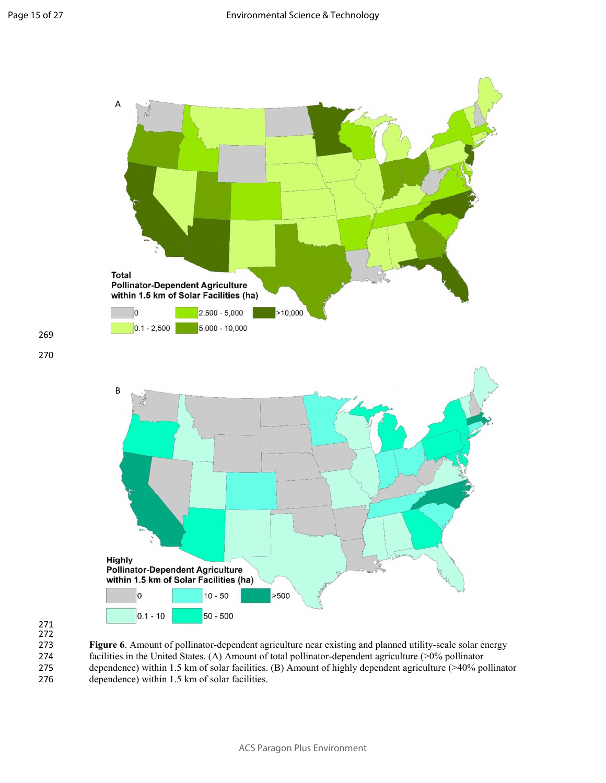

269

270

**Figure 6**. Amount of pollinator-dependent agriculture near existing and planned utility-scale solar energy facilities in the United States. (A) Amount of total pollinator-dependent agriculture (>0% pollinator facilities in the United States. (A) Amount of total pollinator-dependent agriculture (>0% pollinator 275 dependence) within 1.5 km of solar facilities. (B) Amount of highly dependent agriculture (>40% pollinator 276 dependence) within 1.5 km of solar facilities.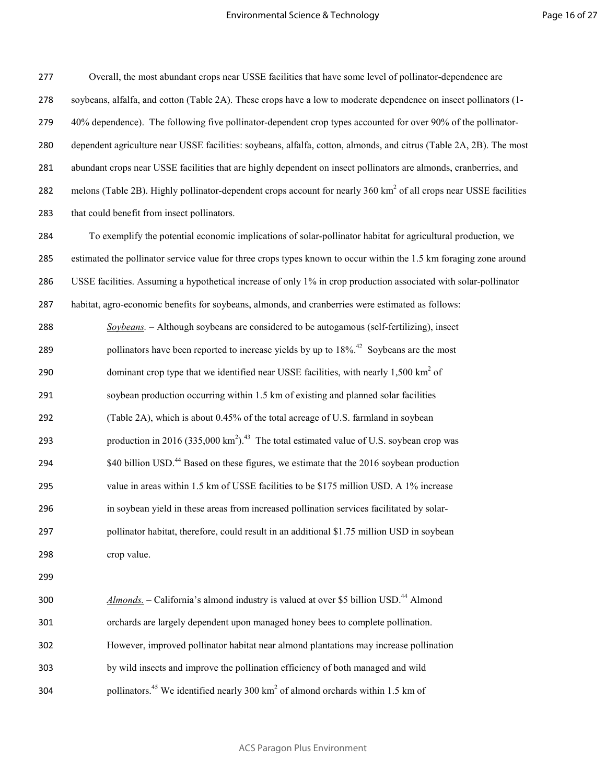Overall, the most abundant crops near USSE facilities that have some level of pollinator-dependence are soybeans, alfalfa, and cotton (Table 2A). These crops have a low to moderate dependence on insect pollinators (1- 40% dependence). The following five pollinator-dependent crop types accounted for over 90% of the pollinator-dependent agriculture near USSE facilities: soybeans, alfalfa, cotton, almonds, and citrus (Table 2A, 2B). The most abundant crops near USSE facilities that are highly dependent on insect pollinators are almonds, cranberries, and 282 melons (Table 2B). Highly pollinator-dependent crops account for nearly  $360 \text{ km}^2$  of all crops near USSE facilities that could benefit from insect pollinators.

To exemplify the potential economic implications of solar-pollinator habitat for agricultural production, we estimated the pollinator service value for three crops types known to occur within the 1.5 km foraging zone around USSE facilities. Assuming a hypothetical increase of only 1% in crop production associated with solar-pollinator habitat, agro-economic benefits for soybeans, almonds, and cranberries were estimated as follows: *Soybeans.* – Although soybeans are considered to be autogamous (self-fertilizing), insect 289 bollinators have been reported to increase vields by up to  $18\%$ <sup>42</sup> Sovbeans are the most 290 dominant crop type that we identified near USSE facilities, with nearly  $1,500 \text{ km}^2$  of soybean production occurring within 1.5 km of existing and planned solar facilities (Table 2A), which is about 0.45% of the total acreage of U.S. farmland in soybean 293 production in 2016  $(335,000 \text{ km}^2)$ .<sup>43</sup> The total estimated value of U.S. soybean crop was  $\text{294}$  \$40 billion USD.<sup>44</sup> Based on these figures, we estimate that the 2016 soybean production value in areas within 1.5 km of USSE facilities to be \$175 million USD. A 1% increase in soybean yield in these areas from increased pollination services facilitated by solar-pollinator habitat, therefore, could result in an additional \$1.75 million USD in soybean crop value. *Almonds.* – California's almond industry is valued at over \$5 billion USD.<sup>44</sup> Almond orchards are largely dependent upon managed honey bees to complete pollination. However, improved pollinator habitat near almond plantations may increase pollination by wild insects and improve the pollination efficiency of both managed and wild

304 pollinators.<sup>45</sup> We identified nearly 300 km<sup>2</sup> of almond orchards within 1.5 km of

ACS Paragon Plus Environment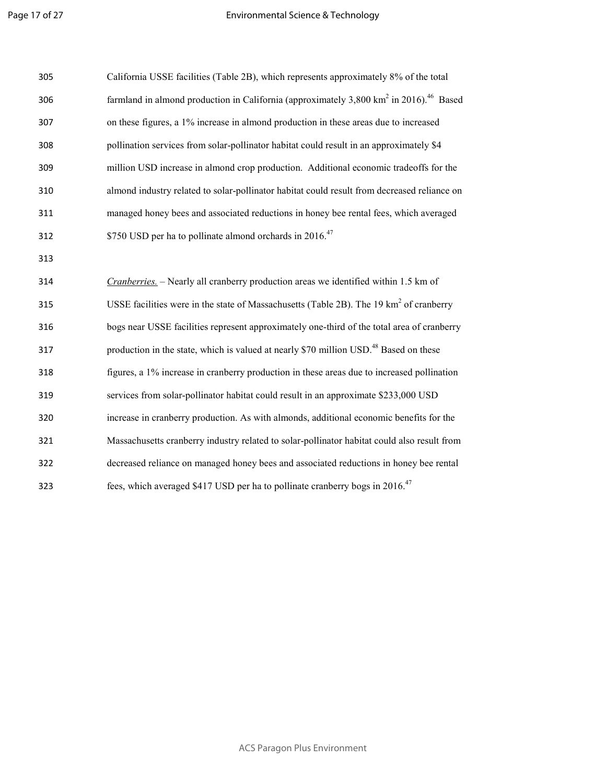| 305 | California USSE facilities (Table 2B), which represents approximately 8% of the total                          |
|-----|----------------------------------------------------------------------------------------------------------------|
| 306 | farmland in almond production in California (approximately 3,800 km <sup>2</sup> in 2016). <sup>46</sup> Based |
| 307 | on these figures, a 1% increase in almond production in these areas due to increased                           |
| 308 | pollination services from solar-pollinator habitat could result in an approximately \$4                        |
| 309 | million USD increase in almond crop production. Additional economic tradeoffs for the                          |
| 310 | almond industry related to solar-pollinator habitat could result from decreased reliance on                    |
| 311 | managed honey bees and associated reductions in honey bee rental fees, which averaged                          |
| 312 | \$750 USD per ha to pollinate almond orchards in 2016. <sup>47</sup>                                           |
| 313 |                                                                                                                |
| 314 | Cranberries. - Nearly all cranberry production areas we identified within 1.5 km of                            |
| 315 | USSE facilities were in the state of Massachusetts (Table 2B). The 19 km <sup>2</sup> of cranberry             |
| 316 | bogs near USSE facilities represent approximately one-third of the total area of cranberry                     |
| 317 | production in the state, which is valued at nearly \$70 million USD. <sup>48</sup> Based on these              |
| 318 | figures, a 1% increase in cranberry production in these areas due to increased pollination                     |
| 319 | services from solar-pollinator habitat could result in an approximate \$233,000 USD                            |
| 320 | increase in cranberry production. As with almonds, additional economic benefits for the                        |
| 321 | Massachusetts cranberry industry related to solar-pollinator habitat could also result from                    |
| 322 | decreased reliance on managed honey bees and associated reductions in honey bee rental                         |
| 323 | fees, which averaged \$417 USD per ha to pollinate cranberry bogs in 2016. <sup>47</sup>                       |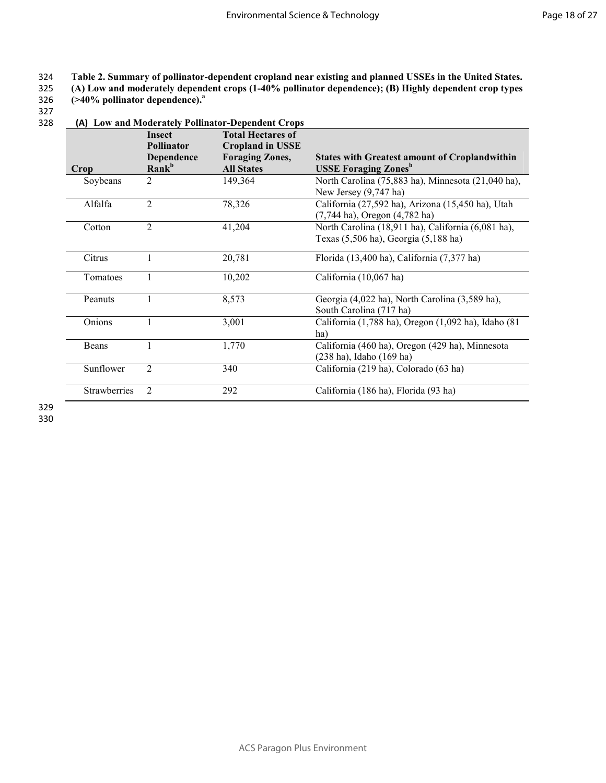### 324 **Table 2. Summary of pollinator-dependent cropland near existing and planned USSEs in the United States.**

325 **(A) Low and moderately dependent crops (1-40% pollinator dependence); (B) Highly dependent crop types** 

**(>40% pollinator dependence).<sup>a</sup>**326

327

#### 328 **(A) Low and Moderately Pollinator-Dependent Crops Insect Pollinator Total Hectares of Cropland in USSE**

| Crop         | Dependence<br>Rank <sup>b</sup> | сгормни ш соод<br><b>Foraging Zones,</b><br><b>All States</b> | <b>States with Greatest amount of Croplandwithin</b><br><b>USSE Foraging Zones</b> <sup>b</sup> |
|--------------|---------------------------------|---------------------------------------------------------------|-------------------------------------------------------------------------------------------------|
| Soybeans     | 2                               | 149,364                                                       | North Carolina (75,883 ha), Minnesota (21,040 ha),<br>New Jersey $(9,747$ ha)                   |
| Alfalfa      | 2                               | 78,326                                                        | California (27,592 ha), Arizona (15,450 ha), Utah<br>(7,744 ha), Oregon (4,782 ha)              |
| Cotton       | $\overline{2}$                  | 41,204                                                        | North Carolina (18,911 ha), California (6,081 ha),<br>Texas (5,506 ha), Georgia (5,188 ha)      |
| Citrus       |                                 | 20,781                                                        | Florida (13,400 ha), California (7,377 ha)                                                      |
| Tomatoes     |                                 | 10,202                                                        | California (10,067 ha)                                                                          |
| Peanuts      |                                 | 8,573                                                         | Georgia (4,022 ha), North Carolina (3,589 ha),<br>South Carolina (717 ha)                       |
| Onions       |                                 | 3,001                                                         | California (1,788 ha), Oregon (1,092 ha), Idaho (81<br>ha)                                      |
| Beans        |                                 | 1,770                                                         | California (460 ha), Oregon (429 ha), Minnesota<br>(238 ha), Idaho (169 ha)                     |
| Sunflower    | $\overline{2}$                  | 340                                                           | California (219 ha), Colorado (63 ha)                                                           |
| Strawberries | 2                               | 292                                                           | California (186 ha), Florida (93 ha)                                                            |

329 330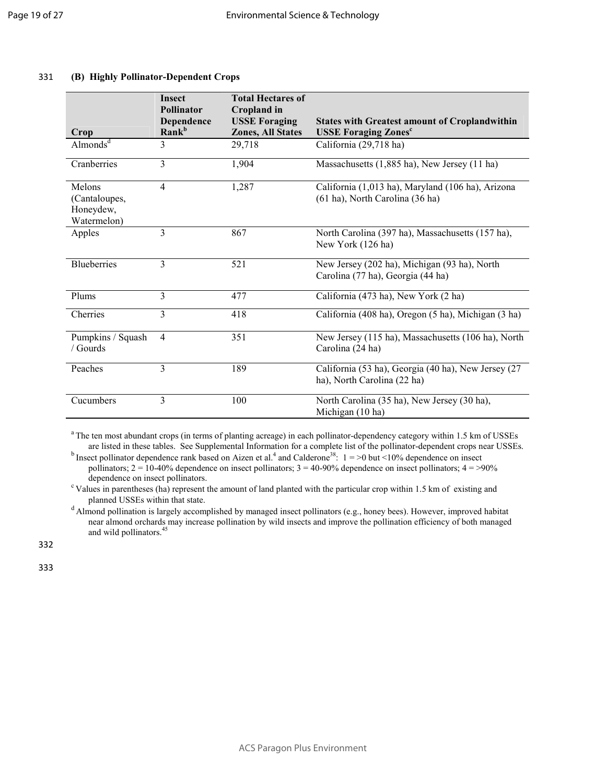|                                                     | <b>Insect</b><br><b>Pollinator</b><br>Dependence | <b>Total Hectares of</b><br><b>Cropland</b> in<br><b>USSE Foraging</b> |                                                                                      |
|-----------------------------------------------------|--------------------------------------------------|------------------------------------------------------------------------|--------------------------------------------------------------------------------------|
| Crop                                                | Rank <sup>b</sup>                                | <b>Zones, All States</b>                                               | <b>States with Greatest amount of Croplandwithin</b><br><b>USSE Foraging Zones</b> c |
| Almonds <sup>d</sup>                                | 3                                                | 29,718                                                                 | California (29,718 ha)                                                               |
| Cranberries                                         | 3                                                | 1,904                                                                  | Massachusetts (1,885 ha), New Jersey (11 ha)                                         |
| Melons<br>(Cantaloupes,<br>Honeydew,<br>Watermelon) | $\overline{4}$                                   | 1,287                                                                  | California (1,013 ha), Maryland (106 ha), Arizona<br>(61 ha), North Carolina (36 ha) |
| Apples                                              | 3                                                | 867                                                                    | North Carolina (397 ha), Massachusetts (157 ha),<br>New York (126 ha)                |
| <b>Blueberries</b>                                  | 3                                                | 521                                                                    | New Jersey (202 ha), Michigan (93 ha), North<br>Carolina (77 ha), Georgia (44 ha)    |
| Plums                                               | 3                                                | 477                                                                    | California (473 ha), New York (2 ha)                                                 |
| Cherries                                            | 3                                                | 418                                                                    | California (408 ha), Oregon (5 ha), Michigan (3 ha)                                  |
| Pumpkins / Squash<br>/ Gourds                       | $\overline{4}$                                   | 351                                                                    | New Jersey (115 ha), Massachusetts (106 ha), North<br>Carolina (24 ha)               |
| Peaches                                             | 3                                                | 189                                                                    | California (53 ha), Georgia (40 ha), New Jersey (27<br>ha), North Carolina (22 ha)   |
| Cucumbers                                           | 3                                                | 100                                                                    | North Carolina (35 ha), New Jersey (30 ha),<br>Michigan (10 ha)                      |

### 331 **(B) Highly Pollinator-Dependent Crops**

<sup>a</sup> The ten most abundant crops (in terms of planting acreage) in each pollinator-dependency category within 1.5 km of USSEs are listed in these tables. See Supplemental Information for a complete list of the pollinator-dependent crops near USSEs.

<sup>b</sup> Insect pollinator dependence rank based on Aizen et al.<sup>4</sup> and Calderone<sup>38</sup>:  $1 = >0$  but <10% dependence on insect pollinators;  $2 = 10-40\%$  dependence on insect pollinators;  $3 = 40-90\%$  dependence on insect pollinators;  $4 = >90\%$ dependence on insect pollinators.

 $c$  Values in parentheses (ha) represent the amount of land planted with the particular crop within 1.5 km of existing and planned USSEs within that state.

<sup>d</sup> Almond pollination is largely accomplished by managed insect pollinators (e.g., honey bees). However, improved habitat near almond orchards may increase pollination by wild insects and improve the pollination efficiency of both managed and wild pollinators.<sup>45</sup>

332

333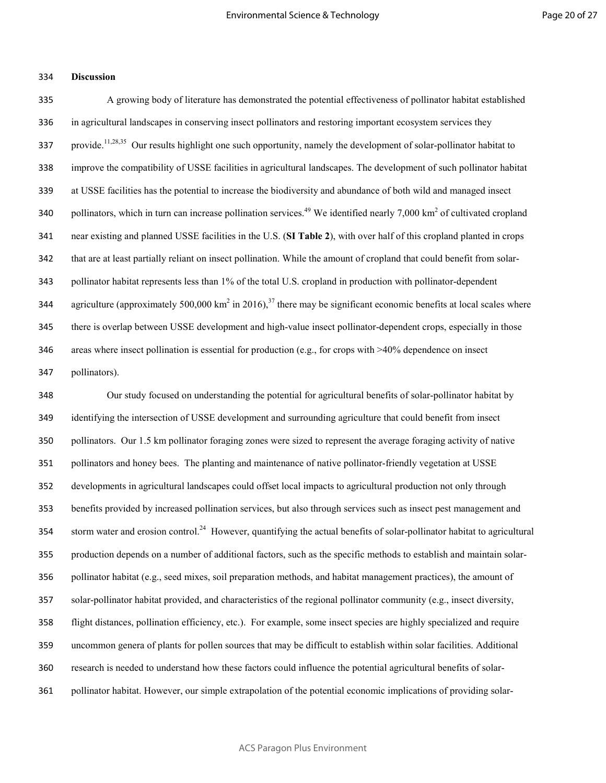### **Discussion**

A growing body of literature has demonstrated the potential effectiveness of pollinator habitat established in agricultural landscapes in conserving insect pollinators and restoring important ecosystem services they 337 provide.<sup>11,28,35</sup> Our results highlight one such opportunity, namely the development of solar-pollinator habitat to improve the compatibility of USSE facilities in agricultural landscapes. The development of such pollinator habitat at USSE facilities has the potential to increase the biodiversity and abundance of both wild and managed insect 340 pollinators, which in turn can increase pollination services.<sup>49</sup> We identified nearly 7,000 km<sup>2</sup> of cultivated cropland near existing and planned USSE facilities in the U.S. (**SI Table 2**), with over half of this cropland planted in crops that are at least partially reliant on insect pollination. While the amount of cropland that could benefit from solar-pollinator habitat represents less than 1% of the total U.S. cropland in production with pollinator-dependent 344 agriculture (approximately 500,000 km<sup>2</sup> in 2016),<sup>37</sup> there may be significant economic benefits at local scales where there is overlap between USSE development and high-value insect pollinator-dependent crops, especially in those areas where insect pollination is essential for production (e.g., for crops with >40% dependence on insect pollinators).

Our study focused on understanding the potential for agricultural benefits of solar-pollinator habitat by identifying the intersection of USSE development and surrounding agriculture that could benefit from insect pollinators. Our 1.5 km pollinator foraging zones were sized to represent the average foraging activity of native pollinators and honey bees. The planting and maintenance of native pollinator-friendly vegetation at USSE developments in agricultural landscapes could offset local impacts to agricultural production not only through benefits provided by increased pollination services, but also through services such as insect pest management and 354 storm water and erosion control.<sup>24</sup> However, quantifying the actual benefits of solar-pollinator habitat to agricultural production depends on a number of additional factors, such as the specific methods to establish and maintain solar-356 pollinator habitat (e.g., seed mixes, soil preparation methods, and habitat management practices), the amount of solar-pollinator habitat provided, and characteristics of the regional pollinator community (e.g., insect diversity, flight distances, pollination efficiency, etc.). For example, some insect species are highly specialized and require uncommon genera of plants for pollen sources that may be difficult to establish within solar facilities. Additional research is needed to understand how these factors could influence the potential agricultural benefits of solar-pollinator habitat. However, our simple extrapolation of the potential economic implications of providing solar-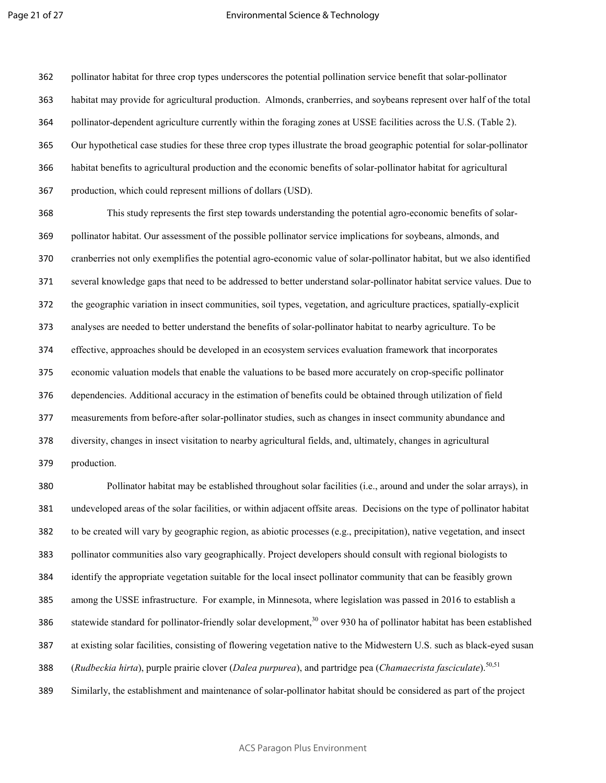#### Environmental Science & Technology

pollinator habitat for three crop types underscores the potential pollination service benefit that solar-pollinator habitat may provide for agricultural production. Almonds, cranberries, and soybeans represent over half of the total pollinator-dependent agriculture currently within the foraging zones at USSE facilities across the U.S. (Table 2). Our hypothetical case studies for these three crop types illustrate the broad geographic potential for solar-pollinator habitat benefits to agricultural production and the economic benefits of solar-pollinator habitat for agricultural production, which could represent millions of dollars (USD).

This study represents the first step towards understanding the potential agro-economic benefits of solar-pollinator habitat. Our assessment of the possible pollinator service implications for soybeans, almonds, and cranberries not only exemplifies the potential agro-economic value of solar-pollinator habitat, but we also identified several knowledge gaps that need to be addressed to better understand solar-pollinator habitat service values. Due to the geographic variation in insect communities, soil types, vegetation, and agriculture practices, spatially-explicit analyses are needed to better understand the benefits of solar-pollinator habitat to nearby agriculture. To be effective, approaches should be developed in an ecosystem services evaluation framework that incorporates economic valuation models that enable the valuations to be based more accurately on crop-specific pollinator dependencies. Additional accuracy in the estimation of benefits could be obtained through utilization of field measurements from before-after solar-pollinator studies, such as changes in insect community abundance and diversity, changes in insect visitation to nearby agricultural fields, and, ultimately, changes in agricultural production.

Pollinator habitat may be established throughout solar facilities (i.e., around and under the solar arrays), in undeveloped areas of the solar facilities, or within adjacent offsite areas. Decisions on the type of pollinator habitat to be created will vary by geographic region, as abiotic processes (e.g., precipitation), native vegetation, and insect pollinator communities also vary geographically. Project developers should consult with regional biologists to identify the appropriate vegetation suitable for the local insect pollinator community that can be feasibly grown among the USSE infrastructure. For example, in Minnesota, where legislation was passed in 2016 to establish a 386 statewide standard for pollinator-friendly solar development, over 930 ha of pollinator habitat has been established at existing solar facilities, consisting of flowering vegetation native to the Midwestern U.S. such as black-eyed susan 388 (*Rudbeckia hirta*), purple prairie clover (*Dalea purpurea*), and partridge pea (*Chamaecrista fasciculate*).<sup>50,51</sup> Similarly, the establishment and maintenance of solar-pollinator habitat should be considered as part of the project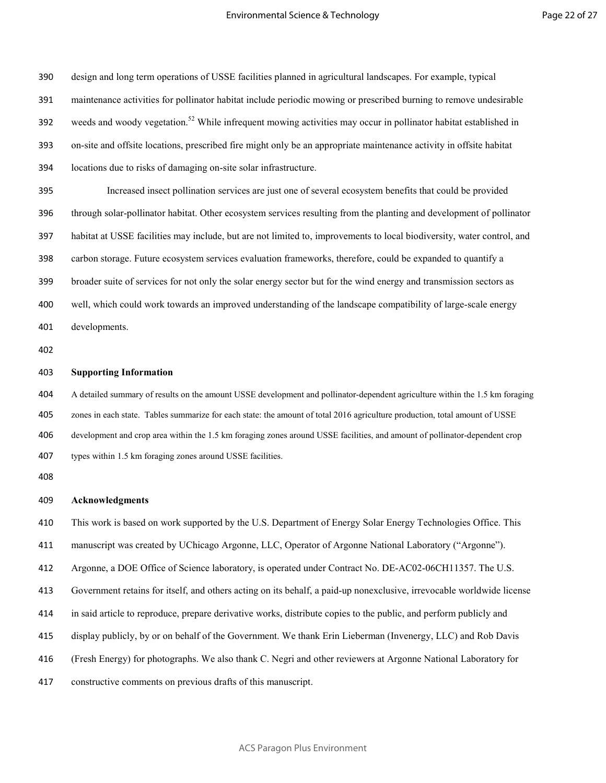design and long term operations of USSE facilities planned in agricultural landscapes. For example, typical maintenance activities for pollinator habitat include periodic mowing or prescribed burning to remove undesirable 392 weeds and woody vegetation.<sup>52</sup> While infrequent mowing activities may occur in pollinator habitat established in on-site and offsite locations, prescribed fire might only be an appropriate maintenance activity in offsite habitat locations due to risks of damaging on-site solar infrastructure. Increased insect pollination services are just one of several ecosystem benefits that could be provided through solar-pollinator habitat. Other ecosystem services resulting from the planting and development of pollinator habitat at USSE facilities may include, but are not limited to, improvements to local biodiversity, water control, and carbon storage. Future ecosystem services evaluation frameworks, therefore, could be expanded to quantify a broader suite of services for not only the solar energy sector but for the wind energy and transmission sectors as

well, which could work towards an improved understanding of the landscape compatibility of large-scale energy developments.

#### **Supporting Information**

A detailed summary of results on the amount USSE development and pollinator-dependent agriculture within the 1.5 km foraging zones in each state. Tables summarize for each state: the amount of total 2016 agriculture production, total amount of USSE development and crop area within the 1.5 km foraging zones around USSE facilities, and amount of pollinator-dependent crop types within 1.5 km foraging zones around USSE facilities.

#### **Acknowledgments**

This work is based on work supported by the U.S. Department of Energy Solar Energy Technologies Office. This

manuscript was created by UChicago Argonne, LLC, Operator of Argonne National Laboratory ("Argonne").

Argonne, a DOE Office of Science laboratory, is operated under Contract No. DE-AC02-06CH11357. The U.S.

Government retains for itself, and others acting on its behalf, a paid-up nonexclusive, irrevocable worldwide license

in said article to reproduce, prepare derivative works, distribute copies to the public, and perform publicly and

- display publicly, by or on behalf of the Government. We thank Erin Lieberman (Invenergy, LLC) and Rob Davis
- (Fresh Energy) for photographs. We also thank C. Negri and other reviewers at Argonne National Laboratory for
- constructive comments on previous drafts of this manuscript.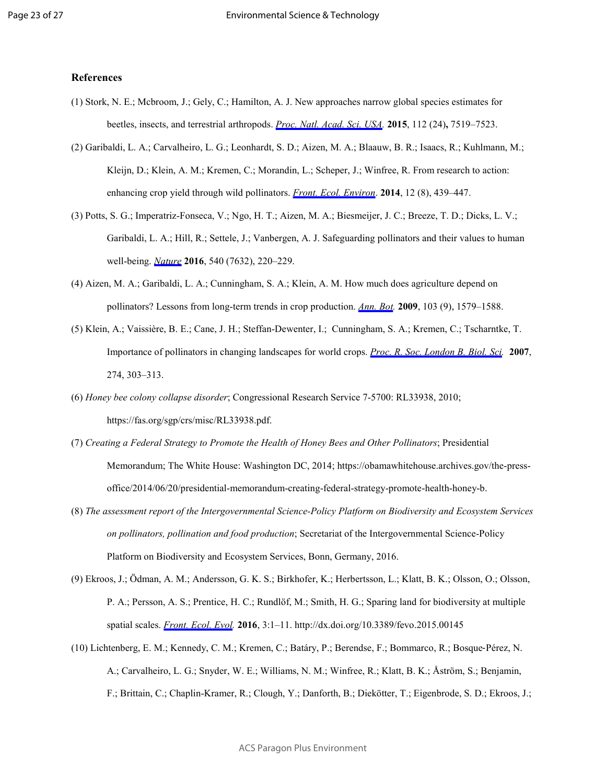### **References**

- (1) Stork, N. E.; Mcbroom, J.; Gely, C.; Hamilton, A. J. New approaches narrow global species estimates for beetles, insects, and terrestrial arthropods. *[Proc. Natl. Acad. Sci. USA](http://pubs.acs.org/action/showLinks?pmid=26034274&crossref=10.1073%2Fpnas.1502408112&coi=1%3ACAS%3A528%3ADC%252BC2MXpt1ejt7k%253D&citationId=p_n_1_1).* **2015**, 112 (24)**,** 7519–7523.
- (2) Garibaldi, L. A.; Carvalheiro, L. G.; Leonhardt, S. D.; Aizen, M. A.; Blaauw, B. R.; Isaacs, R.; Kuhlmann, M.; Kleijn, D.; Klein, A. M.; Kremen, C.; Morandin, L.; Scheper, J.; Winfree, R. From research to action: enhancing crop yield through wild pollinators. *[Front. Ecol. Environ](http://pubs.acs.org/action/showLinks?crossref=10.1890%2F130330&citationId=p_n_2_1)*. **2014**, 12 (8), 439–447.
- (3) Potts, S. G.; Imperatriz-Fonseca, V.; Ngo, H. T.; Aizen, M. A.; Biesmeijer, J. C.; Breeze, T. D.; Dicks, L. V.; Garibaldi, L. A.; Hill, R.; Settele, J.; Vanbergen, A. J. Safeguarding pollinators and their values to human well-being. *[Nature](http://pubs.acs.org/action/showLinks?pmid=27894123&crossref=10.1038%2Fnature20588&coi=1%3ACAS%3A528%3ADC%252BC28XhvFGgurjL&citationId=p_n_3_1)* **2016**, 540 (7632), 220–229.
- (4) Aizen, M. A.; Garibaldi, L. A.; Cunningham, S. A.; Klein, A. M. How much does agriculture depend on pollinators? Lessons from long-term trends in crop production. *[Ann. Bot](http://pubs.acs.org/action/showLinks?pmid=19339297&crossref=10.1093%2Faob%2Fmcp076&coi=1%3ACAS%3A280%3ADC%252BD1MznvV2iug%253D%253D&citationId=p_n_4_1).* **2009**, 103 (9), 1579–1588.
- (5) Klein, A.; Vaissière, B. E.; Cane, J. H.; Steffan-Dewenter, I.; Cunningham, S. A.; Kremen, C.; Tscharntke, T. Importance of pollinators in changing landscapes for world crops. *[Proc. R. Soc. London B. Biol. Sci](http://pubs.acs.org/action/showLinks?pmid=17164193&crossref=10.1098%2Frspb.2006.3721&coi=1%3ACAS%3A280%3ADC%252BD28jis1OqtA%253D%253D&citationId=p_n_5_1).* **2007**, 274, 303–313.
- (6) *Honey bee colony collapse disorder*; Congressional Research Service 7-5700: RL33938, 2010; https://fas.org/sgp/crs/misc/RL33938.pdf.
- (7) *Creating a Federal Strategy to Promote the Health of Honey Bees and Other Pollinators*; Presidential Memorandum; The White House: Washington DC, 2014; https://obamawhitehouse.archives.gov/the-pressoffice/2014/06/20/presidential-memorandum-creating-federal-strategy-promote-health-honey-b.
- (8) *The assessment report of the Intergovernmental Science-Policy Platform on Biodiversity and Ecosystem Services on pollinators, pollination and food production*; Secretariat of the Intergovernmental Science-Policy Platform on Biodiversity and Ecosystem Services, Bonn, Germany, 2016.
- (9) Ekroos, J.; Ödman, A. M.; Andersson, G. K. S.; Birkhofer, K.; Herbertsson, L.; Klatt, B. K.; Olsson, O.; Olsson, P. A.; Persson, A. S.; Prentice, H. C.; Rundlöf, M.; Smith, H. G.; Sparing land for biodiversity at multiple spatial scales. *[Front. Ecol. Evol.](http://pubs.acs.org/action/showLinks?crossref=10.3389%2Ffevo.2015.00145&citationId=p_n_9_1)* **2016**, 3:1–11. http://dx.doi.org/10.3389/fevo.2015.00145
- (10) Lichtenberg, E. M.; Kennedy, C. M.; Kremen, C.; Batáry, P.; Berendse, F.; Bommarco, R.; Bosque‐Pérez, N. A.; Carvalheiro, L. G.; Snyder, W. E.; Williams, N. M.; Winfree, R.; Klatt, B. K.; Åström, S.; Benjamin, F.; Brittain, C.; Chaplin-Kramer, R.; Clough, Y.; Danforth, B.; Diekötter, T.; Eigenbrode, S. D.; Ekroos, J.;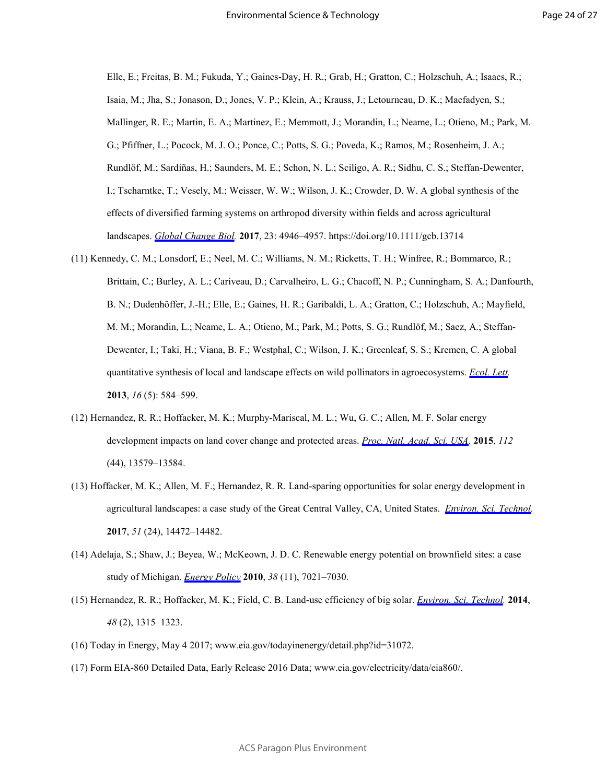Elle, E.; Freitas, B. M.; Fukuda, Y.; Gaines-Day, H. R.; Grab, H.; Gratton, C.; Holzschuh, A.; Isaacs, R.; Isaia, M.; Jha, S.; Jonason, D.; Jones, V. P.; Klein, A.; Krauss, J.; Letourneau, D. K.; Macfadyen, S.; Mallinger, R. E.; Martin, E. A.; Martinez, E.; Memmott, J.; Morandin, L.; Neame, L.; Otieno, M.; Park, M. G.; Pfiffner, L.; Pocock, M. J. O.; Ponce, C.; Potts, S. G.; Poveda, K.; Ramos, M.; Rosenheim, J. A.; Rundlöf, M.; Sardiñas, H.; Saunders, M. E.; Schon, N. L.; Sciligo, A. R.; Sidhu, C. S.; Steffan-Dewenter, I.; Tscharntke, T.; Vesely, M.; Weisser, W. W.; Wilson, J. K.; Crowder, D. W. A global synthesis of the effects of diversified farming systems on arthropod diversity within fields and across agricultural landscapes. *[Global Change Biol.](http://pubs.acs.org/action/showLinks?pmid=28488295&crossref=10.1111%2Fgcb.13714&coi=1%3ACAS%3A280%3ADC%252BC1crls1yrtA%253D%253D&citationId=p_n_10_1)* **2017**, 23: 4946–4957. https://doi.org/10.1111/gcb.13714

- (11) Kennedy, C. M.; Lonsdorf, E.; Neel, M. C.; Williams, N. M.; Ricketts, T. H.; Winfree, R.; Bommarco, R.; Brittain, C.; Burley, A. L.; Cariveau, D.; Carvalheiro, L. G.; Chacoff, N. P.; Cunningham, S. A.; Danfourth, B. N.; Dudenhöffer, J.-H.; Elle, E.; Gaines, H. R.; Garibaldi, L. A.; Gratton, C.; Holzschuh, A.; Mayfield, M. M.; Morandin, L.; Neame, L. A.; Otieno, M.; Park, M.; Potts, S. G.; Rundlöf, M.; Saez, A.; Steffan-Dewenter, I.; Taki, H.; Viana, B. F.; Westphal, C.; Wilson, J. K.; Greenleaf, S. S.; Kremen, C. A global quantitative synthesis of local and landscape effects on wild pollinators in agroecosystems. *[Ecol. Lett](http://pubs.acs.org/action/showLinks?pmid=23489285&crossref=10.1111%2Fele.12082&coi=1%3ACAS%3A280%3ADC%252BC3svmtVKhsA%253D%253D&citationId=p_n_11_1).* **2013**, *16* (5): 584–599.
- (12) Hernandez, R. R.; Hoffacker, M. K.; Murphy-Mariscal, M. L.; Wu, G. C.; Allen, M. F. Solar energy development impacts on land cover change and protected areas. *[Proc. Natl. Acad. Sci. USA.](http://pubs.acs.org/action/showLinks?pmid=26483467&crossref=10.1073%2Fpnas.1517656112&coi=1%3ACAS%3A528%3ADC%252BC2MXhs1yksbnO&citationId=p_n_12_1)* **2015**, *112* (44), 13579–13584.
- (13) Hoffacker, M. K.; Allen, M. F.; Hernandez, R. R. Land-sparing opportunities for solar energy development in agricultural landscapes: a case study of the Great Central Valley, CA, United States. *[Environ. Sci. Technol](http://pubs.acs.org/action/showLinks?system=10.1021%2Facs.est.7b05110&coi=1%3ACAS%3A528%3ADC%252BC2sXhvFGlurfL&citationId=p_n_13_1).* **2017**, *51* (24), 14472–14482.
- (14) Adelaja, S.; Shaw, J.; Beyea, W.; McKeown, J. D. C. Renewable energy potential on brownfield sites: a case study of Michigan. *[Energy Policy](http://pubs.acs.org/action/showLinks?crossref=10.1016%2Fj.enpol.2010.07.021&citationId=p_n_14_1)* **2010**, *38* (11), 7021–7030.
- (15) Hernandez, R. R.; Hoffacker, M. K.; Field, C. B. Land-use efficiency of big solar. *[Environ. Sci. Technol](http://pubs.acs.org/action/showLinks?system=10.1021%2Fes4043726&coi=1%3ACAS%3A528%3ADC%252BC3sXhvFGis77M&citationId=p_n_15_1).* **2014**, *48* (2), 1315–1323.
- (16) Today in Energy, May 4 2017; www.eia.gov/todayinenergy/detail.php?id=31072.
- (17) Form EIA-860 Detailed Data, Early Release 2016 Data; www.eia.gov/electricity/data/eia860/.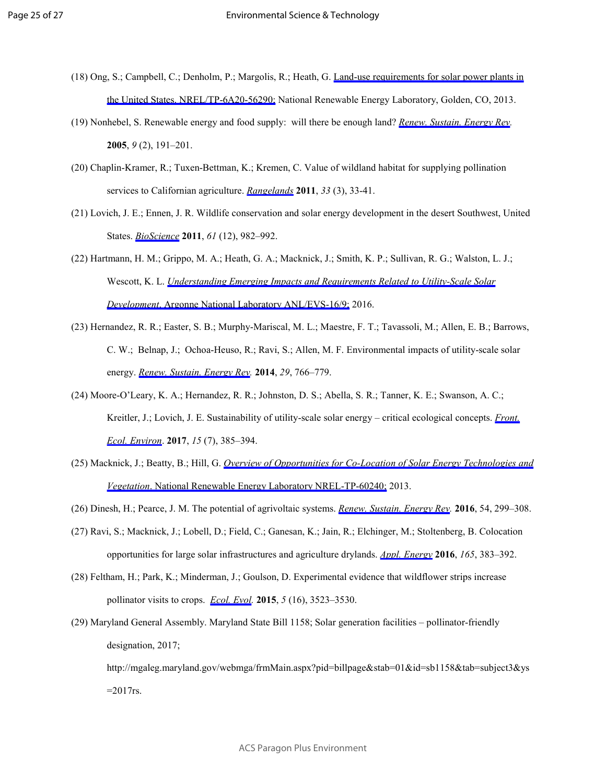- (18) Ong, S.; Campbell, C.; Denholm, P.; Margolis, R.; Heath, G. [Land-use requirements for solar power plants in](http://pubs.acs.org/action/showLinks?crossref=10.2172%2F1086349&citationId=p_n_18_1) [the United States. NREL/TP-6A20-56290;](http://pubs.acs.org/action/showLinks?crossref=10.2172%2F1086349&citationId=p_n_18_1) National Renewable Energy Laboratory, Golden, CO, 2013.
- (19) Nonhebel, S. Renewable energy and food supply: will there be enough land? *[Renew. Sustain. Energy Rev.](http://pubs.acs.org/action/showLinks?crossref=10.1016%2Fj.rser.2004.02.003&citationId=p_n_19_1)* **2005**, *9* (2), 191–201.
- (20) Chaplin-Kramer, R.; Tuxen-Bettman, K.; Kremen, C. Value of wildland habitat for supplying pollination services to Californian agriculture. *[Rangelands](http://pubs.acs.org/action/showLinks?crossref=10.2111%2F1551-501X-33.3.33&citationId=p_n_20_1)* **2011**, *33* (3), 33-41.
- (21) Lovich, J. E.; Ennen, J. R. Wildlife conservation and solar energy development in the desert Southwest, United States. *[BioScience](http://pubs.acs.org/action/showLinks?crossref=10.1525%2Fbio.2011.61.12.8&citationId=p_n_21_1)* **2011**, *61* (12), 982–992.
- (22) Hartmann, H. M.; Grippo, M. A.; Heath, G. A.; Macknick, J.; Smith, K. P.; Sullivan, R. G.; Walston, L. J.; Wescott, K. L. *[Understanding Emerging Impacts and Requirements Related to Utility-Scale Solar](http://pubs.acs.org/action/showLinks?crossref=10.2172%2F1329640&citationId=p_n_22_1)  Development*[. Argonne National Laboratory ANL/EVS-16/9;](http://pubs.acs.org/action/showLinks?crossref=10.2172%2F1329640&citationId=p_n_22_1) 2016.
- (23) Hernandez, R. R.; Easter, S. B.; Murphy-Mariscal, M. L.; Maestre, F. T.; Tavassoli, M.; Allen, E. B.; Barrows, C. W.; Belnap, J.; Ochoa-Heuso, R.; Ravi, S.; Allen, M. F. Environmental impacts of utility-scale solar energy. *[Renew. Sustain. Energy Rev.](http://pubs.acs.org/action/showLinks?crossref=10.1016%2Fj.rser.2013.08.041&citationId=p_n_23_1)* **2014**, *29*, 766–779.
- (24) Moore-O'Leary, K. A.; Hernandez, R. R.; Johnston, D. S.; Abella, S. R.; Tanner, K. E.; Swanson, A. C.; Kreitler, J.; Lovich, J. E. Sustainability of utility-scale solar energy – critical ecological concepts. *[Front.](http://pubs.acs.org/action/showLinks?crossref=10.1002%2Ffee.1517&citationId=p_n_24_1) [Ecol. Environ](http://pubs.acs.org/action/showLinks?crossref=10.1002%2Ffee.1517&citationId=p_n_24_1)*. **2017**, *15* (7), 385–394.
- (25) Macknick, J.; Beatty, B.; Hill, G. *[Overview of Opportunities for Co-Location of Solar Energy Technologies and](http://pubs.acs.org/action/showLinks?crossref=10.2172%2F1115798&citationId=p_n_25_1) Vegetation*[. National Renewable Energy Laboratory NREL-TP-60240;](http://pubs.acs.org/action/showLinks?crossref=10.2172%2F1115798&citationId=p_n_25_1) 2013.
- (26) Dinesh, H.; Pearce, J. M. The potential of agrivoltaic systems. *[Renew. Sustain. Energy Rev.](http://pubs.acs.org/action/showLinks?crossref=10.1016%2Fj.rser.2015.10.024&citationId=p_n_26_1)* **2016**, 54, 299–308.
- (27) Ravi, S.; Macknick, J.; Lobell, D.; Field, C.; Ganesan, K.; Jain, R.; Elchinger, M.; Stoltenberg, B. Colocation opportunities for large solar infrastructures and agriculture drylands. *[Appl. Energy](http://pubs.acs.org/action/showLinks?crossref=10.1016%2Fj.apenergy.2015.12.078&citationId=p_n_27_1)* **2016**, *165*, 383–392.
- (28) Feltham, H.; Park, K.; Minderman, J.; Goulson, D. Experimental evidence that wildflower strips increase pollinator visits to crops. *[Ecol. Evol](http://pubs.acs.org/action/showLinks?pmid=26380683&crossref=10.1002%2Fece3.1444&coi=1%3ACAS%3A280%3ADC%252BC283js1ChtQ%253D%253D&citationId=p_n_28_1).* **2015**, *5* (16), 3523–3530.
- (29) Maryland General Assembly. Maryland State Bill 1158; Solar generation facilities pollinator-friendly designation, 2017;

http://mgaleg.maryland.gov/webmga/frmMain.aspx?pid=billpage&stab=01&id=sb1158&tab=subject3&ys  $=2017$ rs.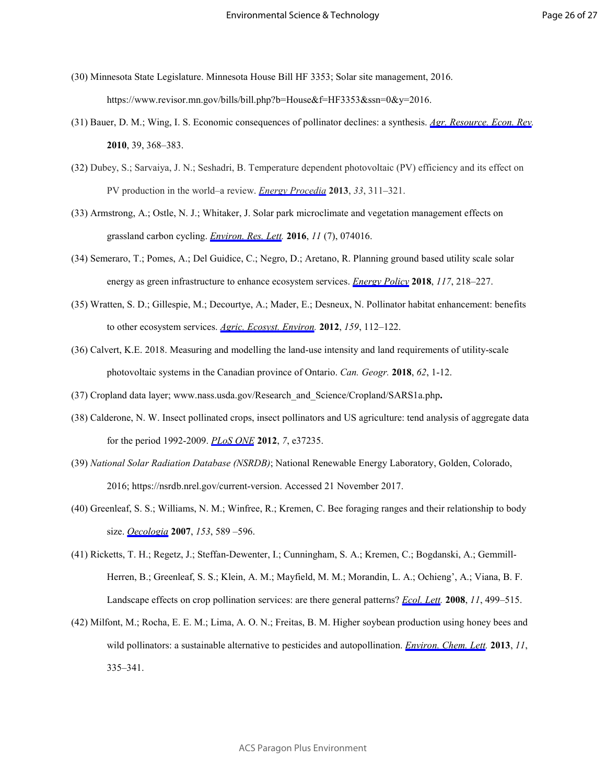- (30) Minnesota State Legislature. Minnesota House Bill HF 3353; Solar site management, 2016. https://www.revisor.mn.gov/bills/bill.php?b=House&f=HF3353&ssn=0&y=2016.
- (31) Bauer, D. M.; Wing, I. S. Economic consequences of pollinator declines: a synthesis. *[Agr. Resource. Econ. Rev](http://pubs.acs.org/action/showLinks?crossref=10.1017%2FS1068280500007371&citationId=p_n_31_1).* **2010**, 39, 368–383.
- (32) Dubey, S.; Sarvaiya, J. N.; Seshadri, B. Temperature dependent photovoltaic (PV) efficiency and its effect on PV production in the world–a review. *[Energy Procedia](http://pubs.acs.org/action/showLinks?crossref=10.1016%2Fj.egypro.2013.05.072&citationId=p_n_32_1)* **2013**, *33*, 311–321.
- (33) Armstrong, A.; Ostle, N. J.; Whitaker, J. Solar park microclimate and vegetation management effects on grassland carbon cycling. *[Environ. Res. Lett.](http://pubs.acs.org/action/showLinks?crossref=10.1088%2F1748-9326%2F11%2F7%2F074016&coi=1%3ACAS%3A528%3ADC%252BC1cXisV2itr0%253D&citationId=p_n_33_1)* **2016**, *11* (7), 074016.
- (34) Semeraro, T.; Pomes, A.; Del Guidice, C.; Negro, D.; Aretano, R. Planning ground based utility scale solar energy as green infrastructure to enhance ecosystem services. *[Energy Policy](http://pubs.acs.org/action/showLinks?crossref=10.1016%2Fj.enpol.2018.01.050&citationId=p_n_34_1)* **2018**, *117*, 218–227.
- (35) Wratten, S. D.; Gillespie, M.; Decourtye, A.; Mader, E.; Desneux, N. Pollinator habitat enhancement: benefits to other ecosystem services. *[Agric. Ecosyst. Environ.](http://pubs.acs.org/action/showLinks?crossref=10.1016%2Fj.agee.2012.06.020&citationId=p_n_35_1)* **2012**, *159*, 112–122.
- (36) Calvert, K.E. 2018. Measuring and modelling the land-use intensity and land requirements of utility-scale photovoltaic systems in the Canadian province of Ontario. *Can. Geogr.* **2018**, *62*, 1-12.
- (37) Cropland data layer; www.nass.usda.gov/Research\_and\_Science/Cropland/SARS1a.php**.**
- (38) Calderone, N. W. Insect pollinated crops, insect pollinators and US agriculture: tend analysis of aggregate data for the period 1992-2009. *[PLoS ONE](http://pubs.acs.org/action/showLinks?pmid=22629374&crossref=10.1371%2Fjournal.pone.0037235&coi=1%3ACAS%3A528%3ADC%252BC38XnvFGrsLw%253D&citationId=p_n_40_1)* **2012**, *7*, e37235.
- (39) *National Solar Radiation Database (NSRDB)*; National Renewable Energy Laboratory, Golden, Colorado, 2016; https://nsrdb.nrel.gov/current-version. Accessed 21 November 2017.
- (40) Greenleaf, S. S.; Williams, N. M.; Winfree, R.; Kremen, C. Bee foraging ranges and their relationship to body size. *[Oecologia](http://pubs.acs.org/action/showLinks?pmid=17483965&crossref=10.1007%2Fs00442-007-0752-9&coi=1%3ACAS%3A280%3ADC%252BD2svms1entQ%253D%253D&citationId=p_n_42_1)* **2007**, *153*, 589 –596.
- (41) Ricketts, T. H.; Regetz, J.; Steffan-Dewenter, I.; Cunningham, S. A.; Kremen, C.; Bogdanski, A.; Gemmill-Herren, B.; Greenleaf, S. S.; Klein, A. M.; Mayfield, M. M.; Morandin, L. A.; Ochieng', A.; Viana, B. F. Landscape effects on crop pollination services: are there general patterns? *[Ecol. Lett](http://pubs.acs.org/action/showLinks?pmid=18294214&crossref=10.1111%2Fj.1461-0248.2008.01157.x&coi=1%3ACAS%3A280%3ADC%252BD1c3jtFKiuw%253D%253D&citationId=p_n_43_1).* **2008**, *11*, 499–515.
- (42) Milfont, M.; Rocha, E. E. M.; Lima, A. O. N.; Freitas, B. M. Higher soybean production using honey bees and wild pollinators: a sustainable alternative to pesticides and autopollination. *[Environ. Chem. Lett.](http://pubs.acs.org/action/showLinks?crossref=10.1007%2Fs10311-013-0412-8&citationId=p_n_44_1)* **2013**, *11*, 335–341.